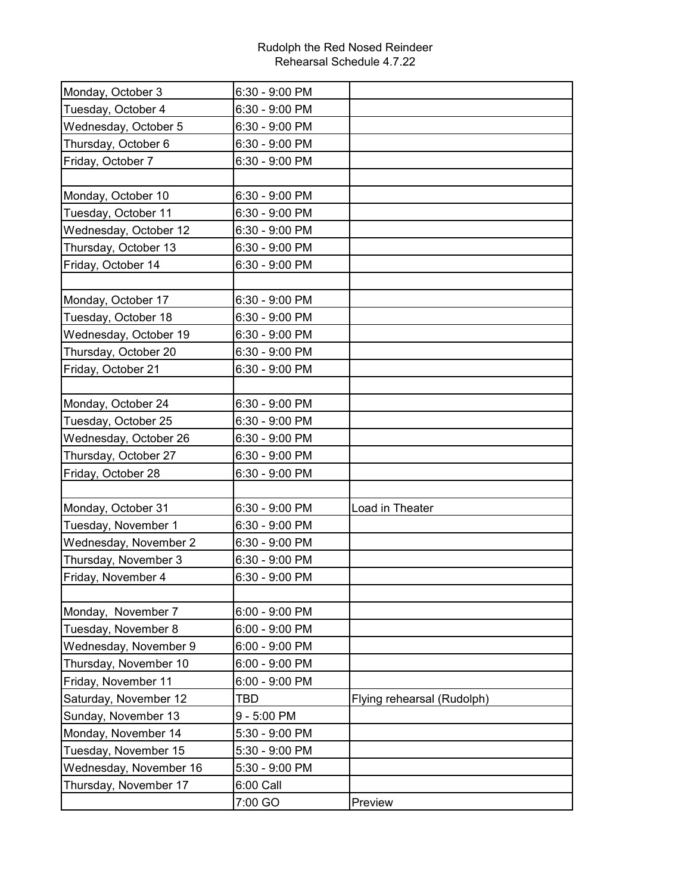## Rudolph the Red Nosed Reindeer Rehearsal Schedule 4.7.22

| Monday, October 3      | 6:30 - 9:00 PM |                            |
|------------------------|----------------|----------------------------|
| Tuesday, October 4     | 6:30 - 9:00 PM |                            |
| Wednesday, October 5   | 6:30 - 9:00 PM |                            |
| Thursday, October 6    | 6:30 - 9:00 PM |                            |
| Friday, October 7      | 6:30 - 9:00 PM |                            |
|                        |                |                            |
| Monday, October 10     | 6:30 - 9:00 PM |                            |
| Tuesday, October 11    | 6:30 - 9:00 PM |                            |
| Wednesday, October 12  | 6:30 - 9:00 PM |                            |
| Thursday, October 13   | 6:30 - 9:00 PM |                            |
| Friday, October 14     | 6:30 - 9:00 PM |                            |
|                        |                |                            |
| Monday, October 17     | 6:30 - 9:00 PM |                            |
| Tuesday, October 18    | 6:30 - 9:00 PM |                            |
| Wednesday, October 19  | 6:30 - 9:00 PM |                            |
| Thursday, October 20   | 6:30 - 9:00 PM |                            |
| Friday, October 21     | 6:30 - 9:00 PM |                            |
|                        |                |                            |
| Monday, October 24     | 6:30 - 9:00 PM |                            |
| Tuesday, October 25    | 6:30 - 9:00 PM |                            |
| Wednesday, October 26  | 6:30 - 9:00 PM |                            |
| Thursday, October 27   | 6:30 - 9:00 PM |                            |
| Friday, October 28     | 6:30 - 9:00 PM |                            |
|                        |                |                            |
| Monday, October 31     | 6:30 - 9:00 PM | Load in Theater            |
| Tuesday, November 1    | 6:30 - 9:00 PM |                            |
| Wednesday, November 2  | 6:30 - 9:00 PM |                            |
| Thursday, November 3   | 6:30 - 9:00 PM |                            |
| Friday, November 4     | 6:30 - 9:00 PM |                            |
|                        |                |                            |
| Monday, November 7     | 6:00 - 9:00 PM |                            |
| Tuesday, November 8    | 6:00 - 9:00 PM |                            |
| Wednesday, November 9  | 6:00 - 9:00 PM |                            |
| Thursday, November 10  | 6:00 - 9:00 PM |                            |
| Friday, November 11    | 6:00 - 9:00 PM |                            |
| Saturday, November 12  | TBD            | Flying rehearsal (Rudolph) |
| Sunday, November 13    | 9 - 5:00 PM    |                            |
| Monday, November 14    | 5:30 - 9:00 PM |                            |
| Tuesday, November 15   | 5:30 - 9:00 PM |                            |
| Wednesday, November 16 | 5:30 - 9:00 PM |                            |
| Thursday, November 17  | 6:00 Call      |                            |
|                        | 7:00 GO        | Preview                    |